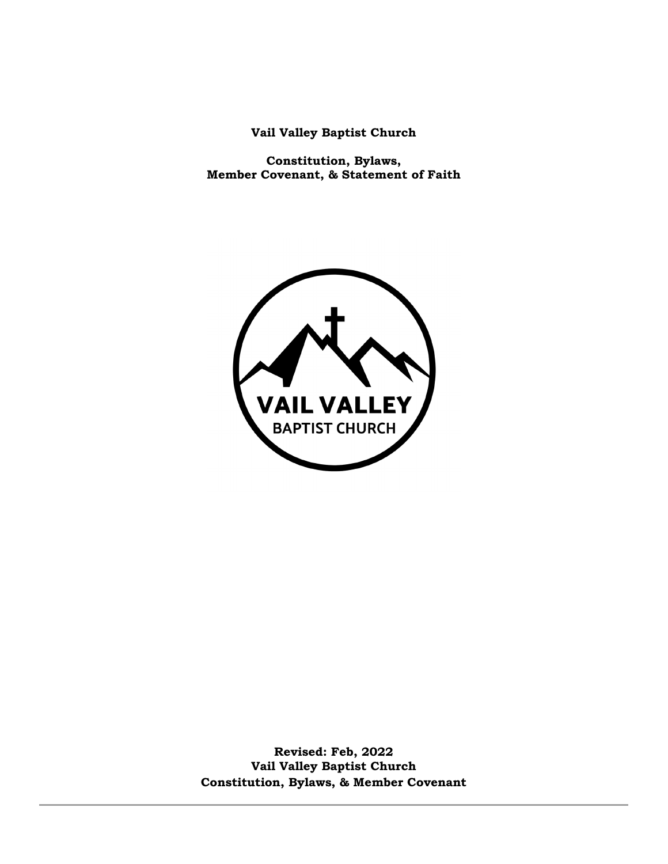**Vail Valley Baptist Church**

**Constitution, Bylaws, Member Covenant, & Statement of Faith**



**Revised: Feb, 2022 Vail Valley Baptist Church Constitution, Bylaws, & Member Covenant**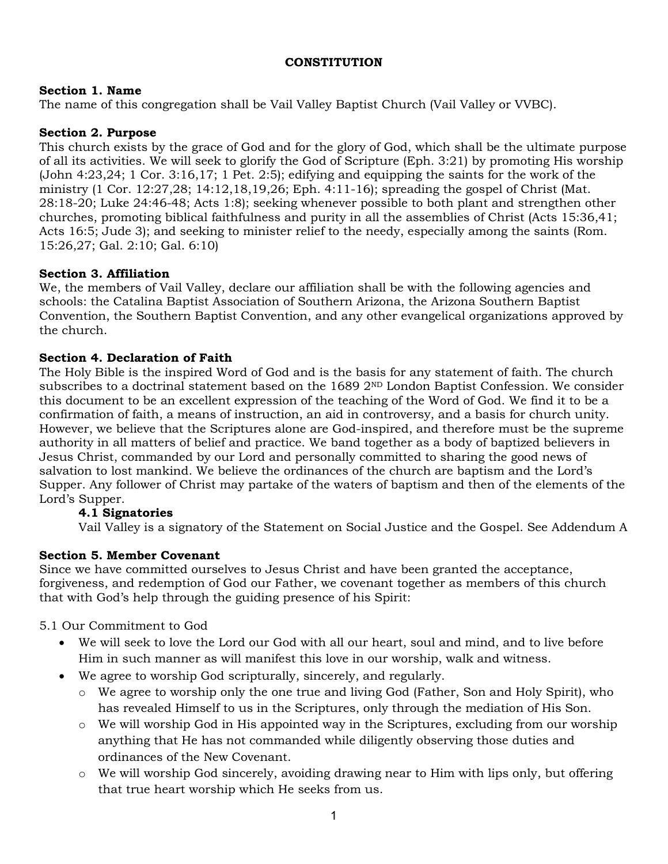## **CONSTITUTION**

## **Section 1. Name**

The name of this congregation shall be Vail Valley Baptist Church (Vail Valley or VVBC).

## **Section 2. Purpose**

This church exists by the grace of God and for the glory of God, which shall be the ultimate purpose of all its activities. We will seek to glorify the God of Scripture (Eph. 3:21) by promoting His worship (John 4:23,24; 1 Cor. 3:16,17; 1 Pet. 2:5); edifying and equipping the saints for the work of the ministry (1 Cor. 12:27,28; 14:12,18,19,26; Eph. 4:11-16); spreading the gospel of Christ (Mat. 28:18-20; Luke 24:46-48; Acts 1:8); seeking whenever possible to both plant and strengthen other churches, promoting biblical faithfulness and purity in all the assemblies of Christ (Acts 15:36,41; Acts 16:5; Jude 3); and seeking to minister relief to the needy, especially among the saints (Rom. 15:26,27; Gal. 2:10; Gal. 6:10)

## **Section 3. Affiliation**

We, the members of Vail Valley, declare our affiliation shall be with the following agencies and schools: the Catalina Baptist Association of Southern Arizona, the Arizona Southern Baptist Convention, the Southern Baptist Convention, and any other evangelical organizations approved by the church.

## **Section 4. Declaration of Faith**

The Holy Bible is the inspired Word of God and is the basis for any statement of faith. The church subscribes to a doctrinal statement based on the  $16892^{ND}$  London Baptist Confession. We consider this document to be an excellent expression of the teaching of the Word of God. We find it to be a confirmation of faith, a means of instruction, an aid in controversy, and a basis for church unity. However, we believe that the Scriptures alone are God-inspired, and therefore must be the supreme authority in all matters of belief and practice. We band together as a body of baptized believers in Jesus Christ, commanded by our Lord and personally committed to sharing the good news of salvation to lost mankind. We believe the ordinances of the church are baptism and the Lord's Supper. Any follower of Christ may partake of the waters of baptism and then of the elements of the Lord's Supper.

# **4.1 Signatories**

Vail Valley is a signatory of the Statement on Social Justice and the Gospel. See Addendum A

# **Section 5. Member Covenant**

Since we have committed ourselves to Jesus Christ and have been granted the acceptance, forgiveness, and redemption of God our Father, we covenant together as members of this church that with God's help through the guiding presence of his Spirit:

5.1 Our Commitment to God

- We will seek to love the Lord our God with all our heart, soul and mind, and to live before Him in such manner as will manifest this love in our worship, walk and witness.
- We agree to worship God scripturally, sincerely, and regularly.
	- o We agree to worship only the one true and living God (Father, Son and Holy Spirit), who has revealed Himself to us in the Scriptures, only through the mediation of His Son.
	- o We will worship God in His appointed way in the Scriptures, excluding from our worship anything that He has not commanded while diligently observing those duties and ordinances of the New Covenant.
	- o We will worship God sincerely, avoiding drawing near to Him with lips only, but offering that true heart worship which He seeks from us.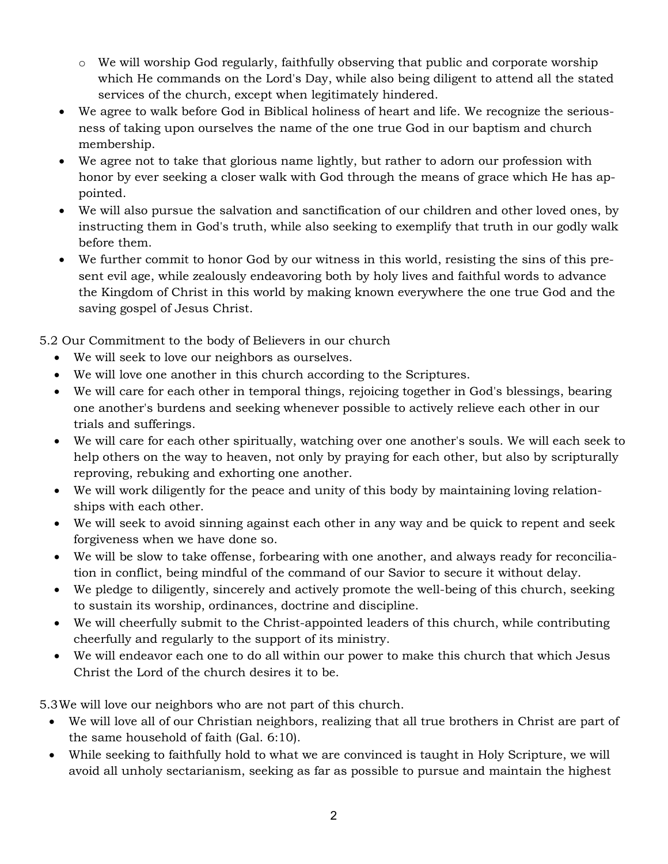- o We will worship God regularly, faithfully observing that public and corporate worship which He commands on the Lord's Day, while also being diligent to attend all the stated services of the church, except when legitimately hindered.
- We agree to walk before God in Biblical holiness of heart and life. We recognize the seriousness of taking upon ourselves the name of the one true God in our baptism and church membership.
- We agree not to take that glorious name lightly, but rather to adorn our profession with honor by ever seeking a closer walk with God through the means of grace which He has appointed.
- We will also pursue the salvation and sanctification of our children and other loved ones, by instructing them in God's truth, while also seeking to exemplify that truth in our godly walk before them.
- We further commit to honor God by our witness in this world, resisting the sins of this present evil age, while zealously endeavoring both by holy lives and faithful words to advance the Kingdom of Christ in this world by making known everywhere the one true God and the saving gospel of Jesus Christ.

5.2 Our Commitment to the body of Believers in our church

- We will seek to love our neighbors as ourselves.
- We will love one another in this church according to the Scriptures.
- We will care for each other in temporal things, rejoicing together in God's blessings, bearing one another's burdens and seeking whenever possible to actively relieve each other in our trials and sufferings.
- We will care for each other spiritually, watching over one another's souls. We will each seek to help others on the way to heaven, not only by praying for each other, but also by scripturally reproving, rebuking and exhorting one another.
- We will work diligently for the peace and unity of this body by maintaining loving relationships with each other.
- We will seek to avoid sinning against each other in any way and be quick to repent and seek forgiveness when we have done so.
- We will be slow to take offense, forbearing with one another, and always ready for reconciliation in conflict, being mindful of the command of our Savior to secure it without delay.
- We pledge to diligently, sincerely and actively promote the well-being of this church, seeking to sustain its worship, ordinances, doctrine and discipline.
- We will cheerfully submit to the Christ-appointed leaders of this church, while contributing cheerfully and regularly to the support of its ministry.
- We will endeavor each one to do all within our power to make this church that which Jesus Christ the Lord of the church desires it to be.

5.3We will love our neighbors who are not part of this church.

- We will love all of our Christian neighbors, realizing that all true brothers in Christ are part of the same household of faith (Gal. 6:10).
- While seeking to faithfully hold to what we are convinced is taught in Holy Scripture, we will avoid all unholy sectarianism, seeking as far as possible to pursue and maintain the highest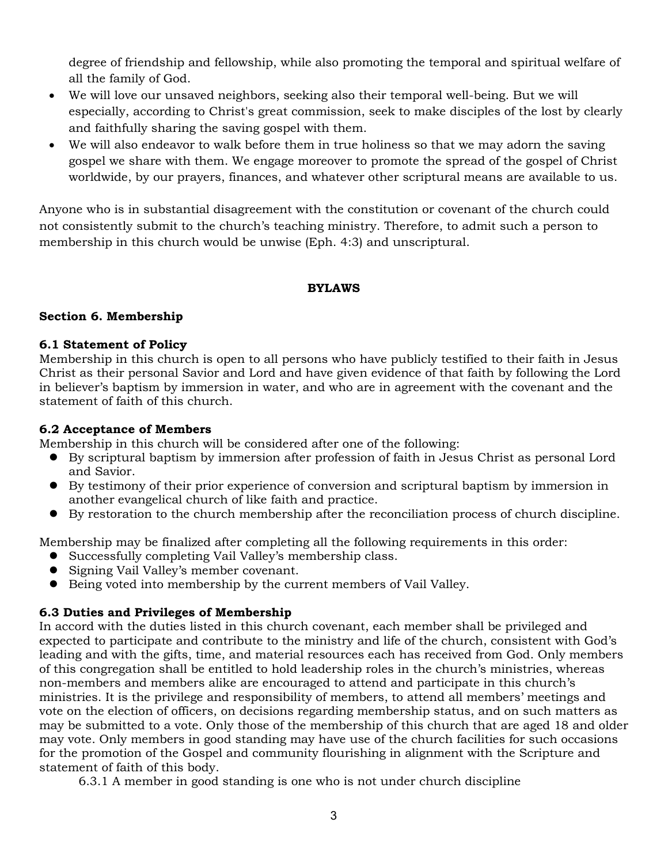degree of friendship and fellowship, while also promoting the temporal and spiritual welfare of all the family of God.

- We will love our unsaved neighbors, seeking also their temporal well-being. But we will especially, according to Christ's great commission, seek to make disciples of the lost by clearly and faithfully sharing the saving gospel with them.
- We will also endeavor to walk before them in true holiness so that we may adorn the saving gospel we share with them. We engage moreover to promote the spread of the gospel of Christ worldwide, by our prayers, finances, and whatever other scriptural means are available to us.

Anyone who is in substantial disagreement with the constitution or covenant of the church could not consistently submit to the church's teaching ministry. Therefore, to admit such a person to membership in this church would be unwise (Eph. 4:3) and unscriptural.

### **BYLAWS**

### **Section 6. Membership**

#### **6.1 Statement of Policy**

Membership in this church is open to all persons who have publicly testified to their faith in Jesus Christ as their personal Savior and Lord and have given evidence of that faith by following the Lord in believer's baptism by immersion in water, and who are in agreement with the covenant and the statement of faith of this church.

### **6.2 Acceptance of Members**

Membership in this church will be considered after one of the following:

- By scriptural baptism by immersion after profession of faith in Jesus Christ as personal Lord and Savior.
- By testimony of their prior experience of conversion and scriptural baptism by immersion in another evangelical church of like faith and practice.
- By restoration to the church membership after the reconciliation process of church discipline.

Membership may be finalized after completing all the following requirements in this order:

- Successfully completing Vail Valley's membership class.
- Signing Vail Valley's member covenant.
- Being voted into membership by the current members of Vail Valley.

### **6.3 Duties and Privileges of Membership**

In accord with the duties listed in this church covenant, each member shall be privileged and expected to participate and contribute to the ministry and life of the church, consistent with God's leading and with the gifts, time, and material resources each has received from God. Only members of this congregation shall be entitled to hold leadership roles in the church's ministries, whereas non-members and members alike are encouraged to attend and participate in this church's ministries. It is the privilege and responsibility of members, to attend all members' meetings and vote on the election of officers, on decisions regarding membership status, and on such matters as may be submitted to a vote. Only those of the membership of this church that are aged 18 and older may vote. Only members in good standing may have use of the church facilities for such occasions for the promotion of the Gospel and community flourishing in alignment with the Scripture and statement of faith of this body.

6.3.1 A member in good standing is one who is not under church discipline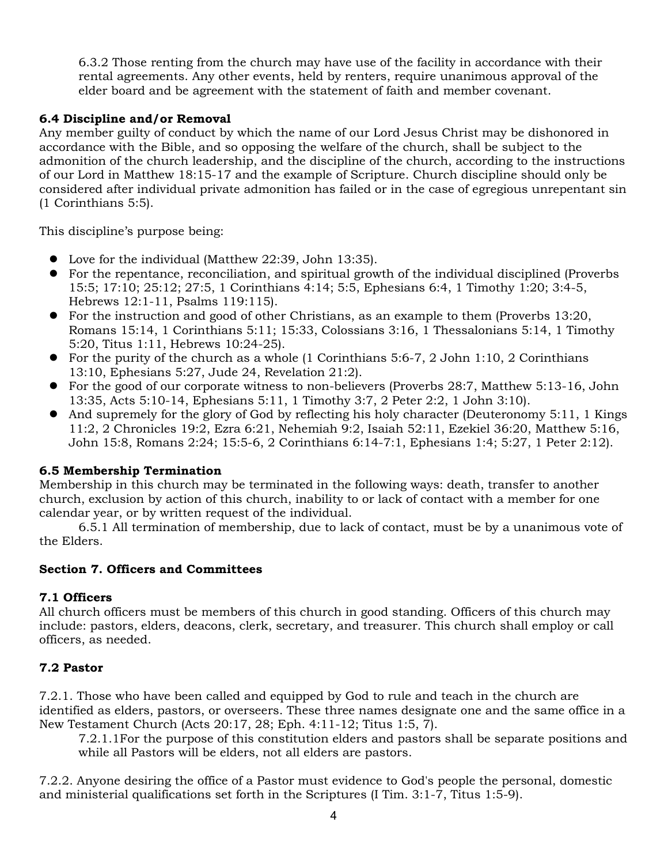6.3.2 Those renting from the church may have use of the facility in accordance with their rental agreements. Any other events, held by renters, require unanimous approval of the elder board and be agreement with the statement of faith and member covenant.

## **6.4 Discipline and/or Removal**

Any member guilty of conduct by which the name of our Lord Jesus Christ may be dishonored in accordance with the Bible, and so opposing the welfare of the church, shall be subject to the admonition of the church leadership, and the discipline of the church, according to the instructions of our Lord in Matthew 18:15-17 and the example of Scripture. Church discipline should only be considered after individual private admonition has failed or in the case of egregious unrepentant sin (1 Corinthians 5:5).

This discipline's purpose being:

- Love for the individual (Matthew 22:39, John 13:35).
- For the repentance, reconciliation, and spiritual growth of the individual disciplined (Proverbs 15:5; 17:10; 25:12; 27:5, 1 Corinthians 4:14; 5:5, Ephesians 6:4, 1 Timothy 1:20; 3:4-5, Hebrews 12:1-11, Psalms 119:115).
- For the instruction and good of other Christians, as an example to them (Proverbs 13:20, Romans 15:14, 1 Corinthians 5:11; 15:33, Colossians 3:16, 1 Thessalonians 5:14, 1 Timothy 5:20, Titus 1:11, Hebrews 10:24-25).
- For the purity of the church as a whole (1 Corinthians 5:6-7, 2 John 1:10, 2 Corinthians 13:10, Ephesians 5:27, Jude 24, Revelation 21:2).
- For the good of our corporate witness to non-believers (Proverbs 28:7, Matthew 5:13-16, John 13:35, Acts 5:10-14, Ephesians 5:11, 1 Timothy 3:7, 2 Peter 2:2, 1 John 3:10).
- And supremely for the glory of God by reflecting his holy character (Deuteronomy 5:11, 1 Kings 11:2, 2 Chronicles 19:2, Ezra 6:21, Nehemiah 9:2, Isaiah 52:11, Ezekiel 36:20, Matthew 5:16, John 15:8, Romans 2:24; 15:5-6, 2 Corinthians 6:14-7:1, Ephesians 1:4; 5:27, 1 Peter 2:12).

# **6.5 Membership Termination**

Membership in this church may be terminated in the following ways: death, transfer to another church, exclusion by action of this church, inability to or lack of contact with a member for one calendar year, or by written request of the individual.

6.5.1 All termination of membership, due to lack of contact, must be by a unanimous vote of the Elders.

### **Section 7. Officers and Committees**

# **7.1 Officers**

All church officers must be members of this church in good standing. Officers of this church may include: pastors, elders, deacons, clerk, secretary, and treasurer. This church shall employ or call officers, as needed.

# **7.2 Pastor**

7.2.1. Those who have been called and equipped by God to rule and teach in the church are identified as elders, pastors, or overseers. These three names designate one and the same office in a New Testament Church (Acts 20:17, 28; Eph. 4:11-12; Titus 1:5, 7).

7.2.1.1For the purpose of this constitution elders and pastors shall be separate positions and while all Pastors will be elders, not all elders are pastors.

7.2.2. Anyone desiring the office of a Pastor must evidence to God's people the personal, domestic and ministerial qualifications set forth in the Scriptures (I Tim. 3:1-7, Titus 1:5-9).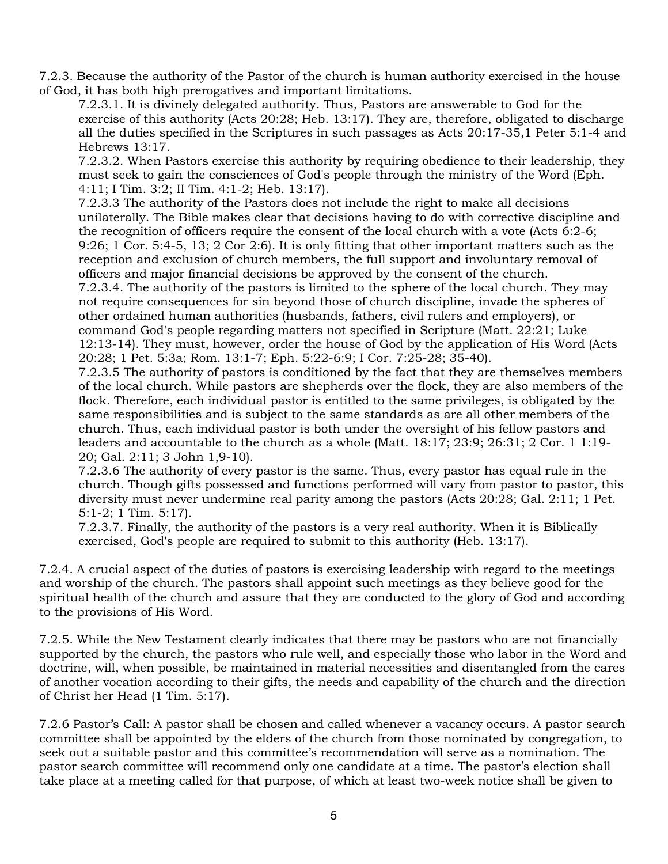7.2.3. Because the authority of the Pastor of the church is human authority exercised in the house of God, it has both high prerogatives and important limitations.

7.2.3.1. It is divinely delegated authority. Thus, Pastors are answerable to God for the exercise of this authority (Acts 20:28; Heb. 13:17). They are, therefore, obligated to discharge all the duties specified in the Scriptures in such passages as Acts 20:17-35,1 Peter 5:1-4 and Hebrews 13:17.

7.2.3.2. When Pastors exercise this authority by requiring obedience to their leadership, they must seek to gain the consciences of God's people through the ministry of the Word (Eph. 4:11; I Tim. 3:2; II Tim. 4:1-2; Heb. 13:17).

7.2.3.3 The authority of the Pastors does not include the right to make all decisions unilaterally. The Bible makes clear that decisions having to do with corrective discipline and the recognition of officers require the consent of the local church with a vote (Acts 6:2-6; 9:26; 1 Cor. 5:4-5, 13; 2 Cor 2:6). It is only fitting that other important matters such as the reception and exclusion of church members, the full support and involuntary removal of officers and major financial decisions be approved by the consent of the church. 7.2.3.4. The authority of the pastors is limited to the sphere of the local church. They may not require consequences for sin beyond those of church discipline, invade the spheres of other ordained human authorities (husbands, fathers, civil rulers and employers), or

command God's people regarding matters not specified in Scripture (Matt. 22:21; Luke 12:13-14). They must, however, order the house of God by the application of His Word (Acts 20:28; 1 Pet. 5:3a; Rom. 13:1-7; Eph. 5:22-6:9; I Cor. 7:25-28; 35-40).

7.2.3.5 The authority of pastors is conditioned by the fact that they are themselves members of the local church. While pastors are shepherds over the flock, they are also members of the flock. Therefore, each individual pastor is entitled to the same privileges, is obligated by the same responsibilities and is subject to the same standards as are all other members of the church. Thus, each individual pastor is both under the oversight of his fellow pastors and leaders and accountable to the church as a whole (Matt. 18:17; 23:9; 26:31; 2 Cor. 1 1:19- 20; Gal. 2:11; 3 John 1,9-10).

7.2.3.6 The authority of every pastor is the same. Thus, every pastor has equal rule in the church. Though gifts possessed and functions performed will vary from pastor to pastor, this diversity must never undermine real parity among the pastors (Acts 20:28; Gal. 2:11; 1 Pet. 5:1-2; 1 Tim. 5:17).

7.2.3.7. Finally, the authority of the pastors is a very real authority. When it is Biblically exercised, God's people are required to submit to this authority (Heb. 13:17).

7.2.4. A crucial aspect of the duties of pastors is exercising leadership with regard to the meetings and worship of the church. The pastors shall appoint such meetings as they believe good for the spiritual health of the church and assure that they are conducted to the glory of God and according to the provisions of His Word.

7.2.5. While the New Testament clearly indicates that there may be pastors who are not financially supported by the church, the pastors who rule well, and especially those who labor in the Word and doctrine, will, when possible, be maintained in material necessities and disentangled from the cares of another vocation according to their gifts, the needs and capability of the church and the direction of Christ her Head (1 Tim. 5:17).

7.2.6 Pastor's Call: A pastor shall be chosen and called whenever a vacancy occurs. A pastor search committee shall be appointed by the elders of the church from those nominated by congregation, to seek out a suitable pastor and this committee's recommendation will serve as a nomination. The pastor search committee will recommend only one candidate at a time. The pastor's election shall take place at a meeting called for that purpose, of which at least two-week notice shall be given to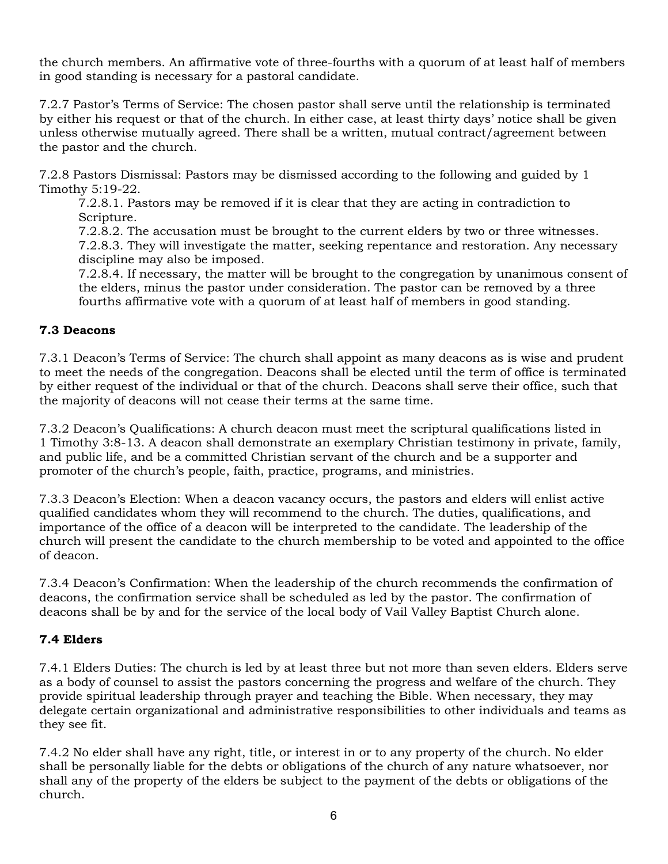the church members. An affirmative vote of three-fourths with a quorum of at least half of members in good standing is necessary for a pastoral candidate.

7.2.7 Pastor's Terms of Service: The chosen pastor shall serve until the relationship is terminated by either his request or that of the church. In either case, at least thirty days' notice shall be given unless otherwise mutually agreed. There shall be a written, mutual contract/agreement between the pastor and the church.

7.2.8 Pastors Dismissal: Pastors may be dismissed according to the following and guided by 1 Timothy 5:19-22.

7.2.8.1. Pastors may be removed if it is clear that they are acting in contradiction to Scripture.

7.2.8.2. The accusation must be brought to the current elders by two or three witnesses. 7.2.8.3. They will investigate the matter, seeking repentance and restoration. Any necessary discipline may also be imposed.

7.2.8.4. If necessary, the matter will be brought to the congregation by unanimous consent of the elders, minus the pastor under consideration. The pastor can be removed by a three fourths affirmative vote with a quorum of at least half of members in good standing.

## **7.3 Deacons**

7.3.1 Deacon's Terms of Service: The church shall appoint as many deacons as is wise and prudent to meet the needs of the congregation. Deacons shall be elected until the term of office is terminated by either request of the individual or that of the church. Deacons shall serve their office, such that the majority of deacons will not cease their terms at the same time.

7.3.2 Deacon's Qualifications: A church deacon must meet the scriptural qualifications listed in 1 Timothy 3:8-13. A deacon shall demonstrate an exemplary Christian testimony in private, family, and public life, and be a committed Christian servant of the church and be a supporter and promoter of the church's people, faith, practice, programs, and ministries.

7.3.3 Deacon's Election: When a deacon vacancy occurs, the pastors and elders will enlist active qualified candidates whom they will recommend to the church. The duties, qualifications, and importance of the office of a deacon will be interpreted to the candidate. The leadership of the church will present the candidate to the church membership to be voted and appointed to the office of deacon.

7.3.4 Deacon's Confirmation: When the leadership of the church recommends the confirmation of deacons, the confirmation service shall be scheduled as led by the pastor. The confirmation of deacons shall be by and for the service of the local body of Vail Valley Baptist Church alone.

# **7.4 Elders**

7.4.1 Elders Duties: The church is led by at least three but not more than seven elders. Elders serve as a body of counsel to assist the pastors concerning the progress and welfare of the church. They provide spiritual leadership through prayer and teaching the Bible. When necessary, they may delegate certain organizational and administrative responsibilities to other individuals and teams as they see fit.

7.4.2 No elder shall have any right, title, or interest in or to any property of the church. No elder shall be personally liable for the debts or obligations of the church of any nature whatsoever, nor shall any of the property of the elders be subject to the payment of the debts or obligations of the church.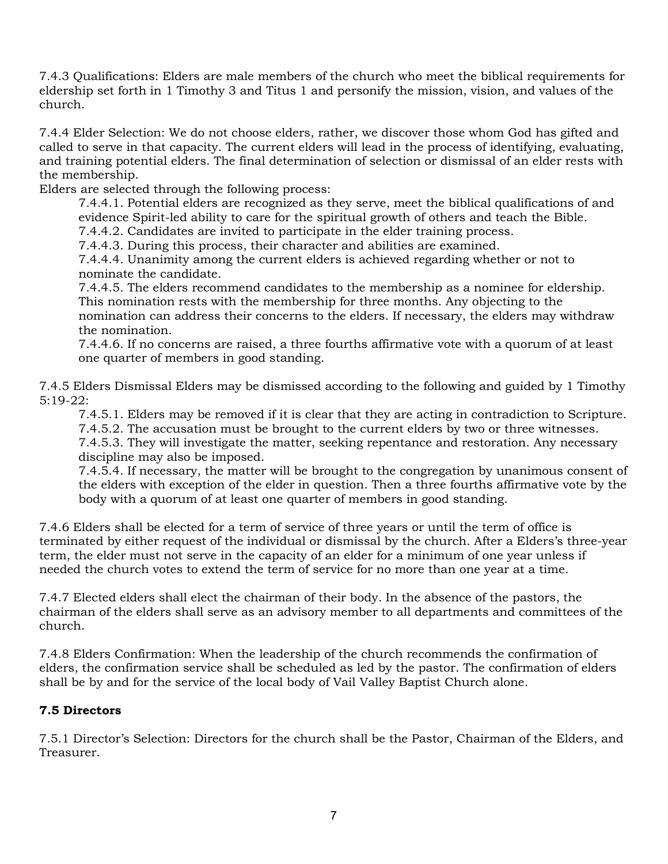7.4.3 Qualifications: Elders are male members of the church who meet the biblical requirements for eldership set forth in 1 Timothy 3 and Titus 1 and personify the mission, vision, and values of the church.

7.4.4 Elder Selection: We do not choose elders, rather, we discover those whom God has gifted and called to serve in that capacity. The current elders will lead in the process of identifying, evaluating, and training potential elders. The final determination of selection or dismissal of an elder rests with the membership.

Elders are selected through the following process:

7.4.4.1. Potential elders are recognized as they serve, meet the biblical qualifications of and evidence Spirit-led ability to care for the spiritual growth of others and teach the Bible.

7.4.4.2. Candidates are invited to participate in the elder training process.

7.4.4.3. During this process, their character and abilities are examined.

7.4.4.4. Unanimity among the current elders is achieved regarding whether or not to nominate the candidate.

7.4.4.5. The elders recommend candidates to the membership as a nominee for eldership. This nomination rests with the membership for three months. Any objecting to the nomination can address their concerns to the elders. If necessary, the elders may withdraw the nomination.

7.4.4.6. If no concerns are raised, a three fourths affirmative vote with a quorum of at least one quarter of members in good standing.

7.4.5 Elders Dismissal Elders may be dismissed according to the following and guided by 1 Timothy 5:19-22:

7.4.5.1. Elders may be removed if it is clear that they are acting in contradiction to Scripture. 7.4.5.2. The accusation must be brought to the current elders by two or three witnesses.

7.4.5.3. They will investigate the matter, seeking repentance and restoration. Any necessary discipline may also be imposed.

7.4.5.4. If necessary, the matter will be brought to the congregation by unanimous consent of the elders with exception of the elder in question. Then a three fourths affirmative vote by the body with a quorum of at least one quarter of members in good standing.

7.4.6 Elders shall be elected for a term of service of three years or until the term of office is terminated by either request of the individual or dismissal by the church. After a Elders's three-year term, the elder must not serve in the capacity of an elder for a minimum of one year unless if needed the church votes to extend the term of service for no more than one year at a time.

7.4.7 Elected elders shall elect the chairman of their body. In the absence of the pastors, the chairman of the elders shall serve as an advisory member to all departments and committees of the church.

7.4.8 Elders Confirmation: When the leadership of the church recommends the confirmation of elders, the confirmation service shall be scheduled as led by the pastor. The confirmation of elders shall be by and for the service of the local body of Vail Valley Baptist Church alone.

# **7.5 Directors**

7.5.1 Director's Selection: Directors for the church shall be the Pastor, Chairman of the Elders, and Treasurer.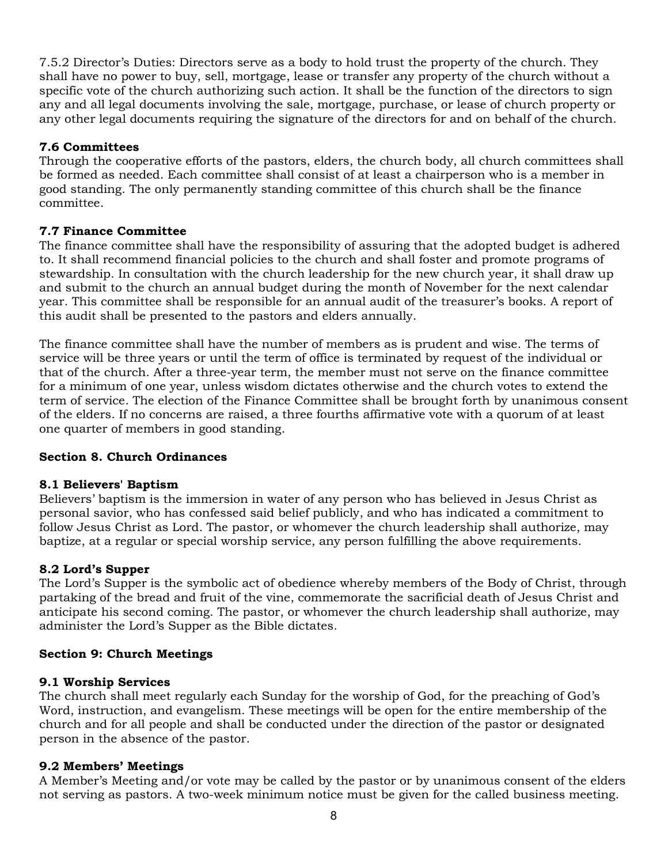7.5.2 Director's Duties: Directors serve as a body to hold trust the property of the church. They shall have no power to buy, sell, mortgage, lease or transfer any property of the church without a specific vote of the church authorizing such action. It shall be the function of the directors to sign any and all legal documents involving the sale, mortgage, purchase, or lease of church property or any other legal documents requiring the signature of the directors for and on behalf of the church.

## **7.6 Committees**

Through the cooperative efforts of the pastors, elders, the church body, all church committees shall be formed as needed. Each committee shall consist of at least a chairperson who is a member in good standing. The only permanently standing committee of this church shall be the finance committee.

### **7.7 Finance Committee**

The finance committee shall have the responsibility of assuring that the adopted budget is adhered to. It shall recommend financial policies to the church and shall foster and promote programs of stewardship. In consultation with the church leadership for the new church year, it shall draw up and submit to the church an annual budget during the month of November for the next calendar year. This committee shall be responsible for an annual audit of the treasurer's books. A report of this audit shall be presented to the pastors and elders annually.

The finance committee shall have the number of members as is prudent and wise. The terms of service will be three years or until the term of office is terminated by request of the individual or that of the church. After a three-year term, the member must not serve on the finance committee for a minimum of one year, unless wisdom dictates otherwise and the church votes to extend the term of service. The election of the Finance Committee shall be brought forth by unanimous consent of the elders. If no concerns are raised, a three fourths affirmative vote with a quorum of at least one quarter of members in good standing.

### **Section 8. Church Ordinances**

### **8.1 Believers' Baptism**

Believers' baptism is the immersion in water of any person who has believed in Jesus Christ as personal savior, who has confessed said belief publicly, and who has indicated a commitment to follow Jesus Christ as Lord. The pastor, or whomever the church leadership shall authorize, may baptize, at a regular or special worship service, any person fulfilling the above requirements.

### **8.2 Lord's Supper**

The Lord's Supper is the symbolic act of obedience whereby members of the Body of Christ, through partaking of the bread and fruit of the vine, commemorate the sacrificial death of Jesus Christ and anticipate his second coming. The pastor, or whomever the church leadership shall authorize, may administer the Lord's Supper as the Bible dictates.

### **Section 9: Church Meetings**

### **9.1 Worship Services**

The church shall meet regularly each Sunday for the worship of God, for the preaching of God's Word, instruction, and evangelism. These meetings will be open for the entire membership of the church and for all people and shall be conducted under the direction of the pastor or designated person in the absence of the pastor.

### **9.2 Members' Meetings**

A Member's Meeting and/or vote may be called by the pastor or by unanimous consent of the elders not serving as pastors. A two-week minimum notice must be given for the called business meeting.